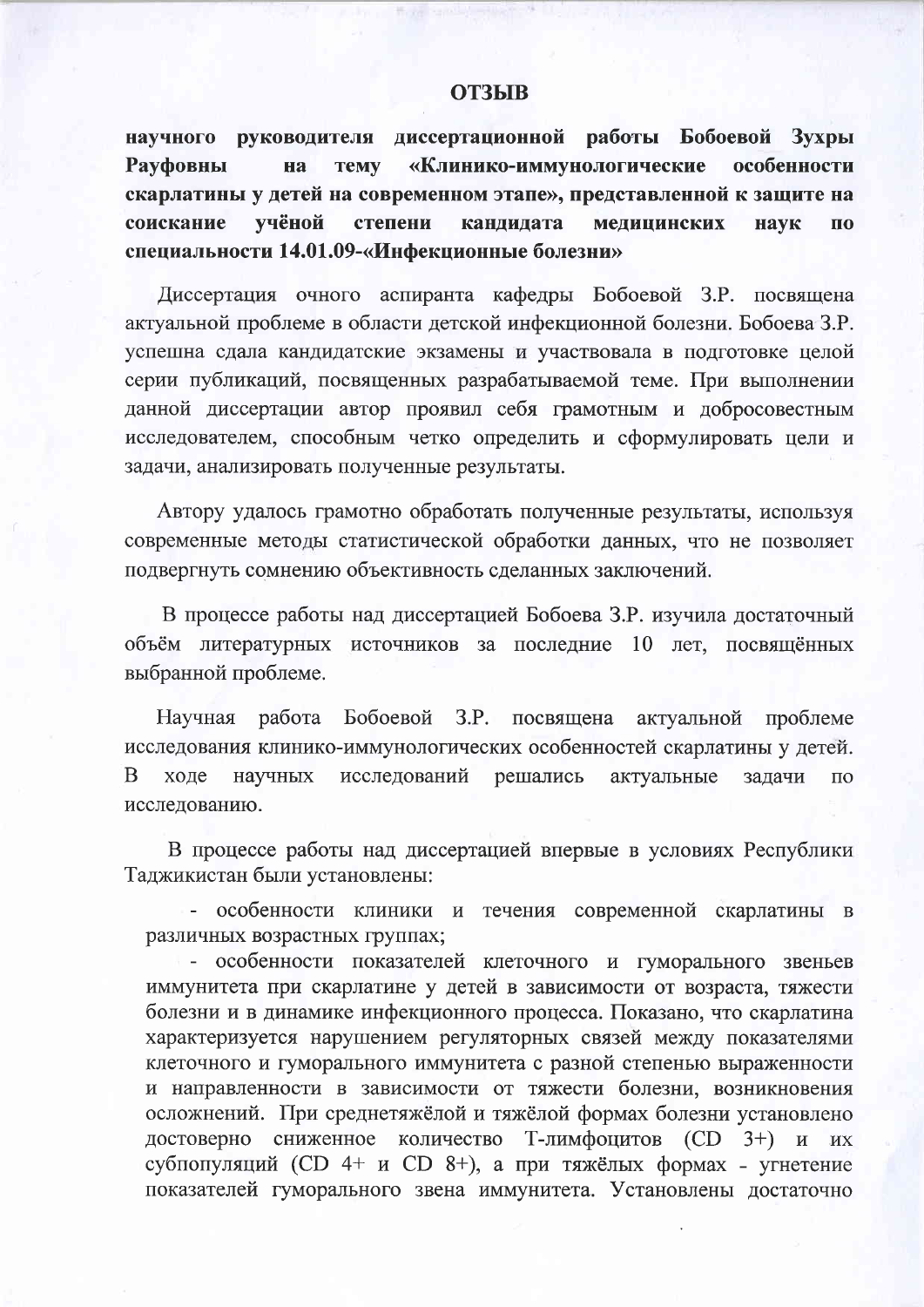## **ОТЗЫВ**

научного руководителя диссертационной работы Бобоевой Зухры «Клинико-иммунологические **Рауфовны TeMV** особенности на скарлатины у детей на современном этапе», представленной к защите на соискание учёной степени кандидата медицинских наук  $\mathbf{u}$ специальности 14.01.09-«Инфекционные болезни»

Диссертация очного аспиранта кафедры Бобоевой З.Р. посвящена актуальной проблеме в области детской инфекционной болезни. Бобоева З.Р. успешна сдала кандидатские экзамены и участвовала в подготовке целой серии публикаций, посвященных разрабатываемой теме. При выполнении данной диссертации автор проявил себя грамотным и добросовестным исследователем, способным четко определить и сформулировать цели и задачи, анализировать полученные результаты.

Автору удалось грамотно обработать полученные результаты, используя современные методы статистической обработки данных, что не позволяет подвергнуть сомнению объективность сделанных заключений.

В процессе работы над диссертацией Бобоева З.Р. изучила достаточный объём литературных источников за последние 10 лет, посвящённых выбранной проблеме.

Научная работа Бобоевой З.Р. посвящена актуальной проблеме исследования клинико-иммунологических особенностей скарлатины у детей. B ходе научных исследований решались актуальные задачи  $\Pi$ <sup>O</sup> исследованию.

В процессе работы над диссертацией впервые в условиях Республики Таджикистан были установлены:

- особенности клиники и течения современной скарлатины в различных возрастных группах;

- особенности показателей клеточного и гуморального звеньев иммунитета при скарлатине у детей в зависимости от возраста, тяжести болезни и в динамике инфекционного процесса. Показано, что скарлатина характеризуется нарушением регуляторных связей между показателями клеточного и гуморального иммунитета с разной степенью выраженности и направленности в зависимости от тяжести болезни, возникновения осложнений. При среднетяжёлой и тяжёлой формах болезни установлено достоверно сниженное количество Т-лимфоцитов (CD 3+) и их субпопуляций (CD 4+ и CD 8+), а при тяжёлых формах - угнетение показателей гуморального звена иммунитета. Установлены достаточно